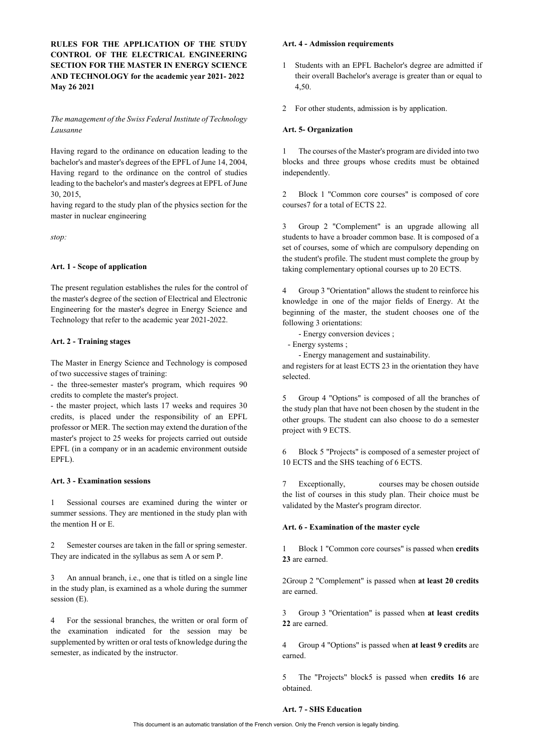**RULES FOR THE APPLICATION OF THE STUDY CONTROL OF THE ELECTRICAL ENGINEERING SECTION FOR THE MASTER IN ENERGY SCIENCE AND TECHNOLOGY for the academic year 2021- 2022 May 26 2021** 

# *The management of the Swiss Federal Institute of Technology Lausanne*

Having regard to the ordinance on education leading to the bachelor's and master's degrees of the EPFL of June 14, 2004, Having regard to the ordinance on the control of studies leading to the bachelor's and master's degrees at EPFL of June 30, 2015,

having regard to the study plan of the physics section for the master in nuclear engineering

*stop:*

# **Art. 1 - Scope of application**

The present regulation establishes the rules for the control of the master's degree of the section of Electrical and Electronic Engineering for the master's degree in Energy Science and Technology that refer to the academic year 2021-2022.

# **Art. 2 - Training stages**

The Master in Energy Science and Technology is composed of two successive stages of training:

- the three-semester master's program, which requires 90 credits to complete the master's project.

- the master project, which lasts 17 weeks and requires 30 credits, is placed under the responsibility of an EPFL professor or MER. The section may extend the duration of the master's project to 25 weeks for projects carried out outside EPFL (in a company or in an academic environment outside EPFL).

### **Art. 3 - Examination sessions**

1 Sessional courses are examined during the winter or summer sessions. They are mentioned in the study plan with the mention H or E.

2 Semester courses are taken in the fall or spring semester. They are indicated in the syllabus as sem A or sem P.

3 An annual branch, i.e., one that is titled on a single line in the study plan, is examined as a whole during the summer session (E).

4 For the sessional branches, the written or oral form of the examination indicated for the session may be supplemented by written or oral tests of knowledge during the semester, as indicated by the instructor.

## **Art. 4 - Admission requirements**

- 1 Students with an EPFL Bachelor's degree are admitted if their overall Bachelor's average is greater than or equal to 4,50.
- 2 For other students, admission is by application.

#### **Art. 5- Organization**

1 The courses of the Master's program are divided into two blocks and three groups whose credits must be obtained independently.

2 Block 1 "Common core courses" is composed of core courses7 for a total of ECTS 22.

3 Group 2 "Complement" is an upgrade allowing all students to have a broader common base. It is composed of a set of courses, some of which are compulsory depending on the student's profile. The student must complete the group by taking complementary optional courses up to 20 ECTS.

Group 3 "Orientation" allows the student to reinforce his knowledge in one of the major fields of Energy. At the beginning of the master, the student chooses one of the following 3 orientations:

- Energy conversion devices ;

- Energy systems ;

- Energy management and sustainability.

and registers for at least ECTS 23 in the orientation they have selected.

5 Group 4 "Options" is composed of all the branches of the study plan that have not been chosen by the student in the other groups. The student can also choose to do a semester project with 9 ECTS.

6 Block 5 "Projects" is composed of a semester project of 10 ECTS and the SHS teaching of 6 ECTS.

7 Exceptionally, courses may be chosen outside the list of courses in this study plan. Their choice must be validated by the Master's program director.

## **Art. 6 - Examination of the master cycle**

1 Block 1 "Common core courses" is passed when **credits 23** are earned.

2Group 2 "Complement" is passed when **at least 20 credits**  are earned.

3 Group 3 "Orientation" is passed when **at least credits 22** are earned.

4 Group 4 "Options" is passed when **at least 9 credits** are earned.

5 The "Projects" block5 is passed when **credits 16** are obtained.

## **Art. 7 - SHS Education**